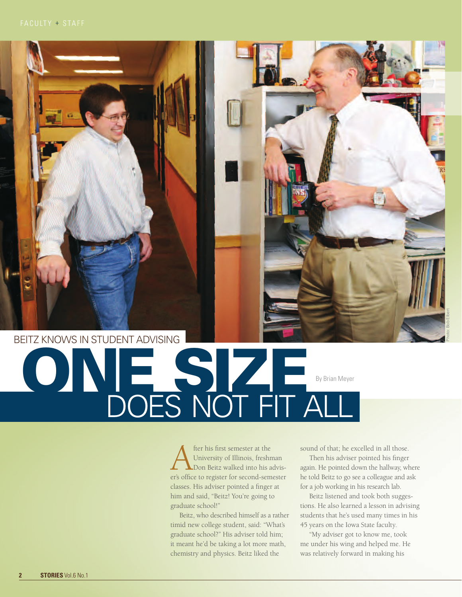## By Brian Meyer DOES NOT FIT ALL Beitz knows in student advising ONE SIZE

**A** fter his first semester at the<br>
University of Illinois, freshman<br>
er's office to register for second-semester University of Illinois, freshman Don Beitz walked into his advisclasses. His adviser pointed a finger at him and said, "Beitz! You're going to graduate school!"

Beitz, who described himself as a rather timid new college student, said: "What's graduate school?" His adviser told him; it meant he'd be taking a lot more math, chemistry and physics. Beitz liked the

sound of that; he excelled in all those.

Photo: Bob Elbert

Then his adviser pointed his finger again. He pointed down the hallway, where he told Beitz to go see a colleague and ask for a job working in his research lab.

Beitz listened and took both suggestions. He also learned a lesson in advising students that he's used many times in his 45 years on the Iowa State faculty.

"My adviser got to know me, took me under his wing and helped me. He was relatively forward in making his